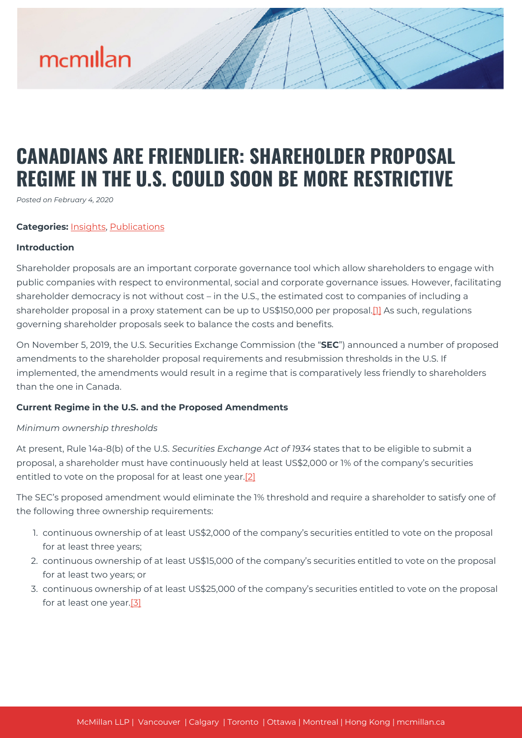# **CANADIANS ARE FRIENDLIER: SHAREHOLDER PROPOSAL REGIME IN THE U.S. COULD SOON BE MORE RESTRICTIVE**

*Posted on February 4, 2020*

#### **Categories:** [Insights,](https://mcmillan.ca/insights/) [Publications](https://mcmillan.ca/insights/publications/)

#### **Introduction**

Shareholder proposals are an important corporate governance tool which allow shareholders to engage with public companies with respect to environmental, social and corporate governance issues. However, facilitating shareholder democracy is not without cost – in the U.S., the estimated cost to companies of including a shareholder proposal in a proxy statement can be up to US\$150,000 per proposal[.\[1\]](#page--1-0) As such, regulations governing shareholder proposals seek to balance the costs and benefits.

On November 5, 2019, the U.S. Securities Exchange Commission (the "**SEC**") announced a number of proposed amendments to the shareholder proposal requirements and resubmission thresholds in the U.S. If implemented, the amendments would result in a regime that is comparatively less friendly to shareholders than the one in Canada.

# **Current Regime in the U.S. and the Proposed Amendments**

#### *Minimum ownership thresholds*

At present, Rule 14a-8(b) of the U.S. *Securities Exchange Act of 1934* states that to be eligible to submit a proposal, a shareholder must have continuously held at least US\$2,000 or 1% of the company's securities entitled to vote on the proposal for at least one year[.\[2\]](#page--1-0)

The SEC's proposed amendment would eliminate the 1% threshold and require a shareholder to satisfy one of the following three ownership requirements:

- 1. continuous ownership of at least US\$2,000 of the company's securities entitled to vote on the proposal for at least three years;
- 2. continuous ownership of at least US\$15,000 of the company's securities entitled to vote on the proposal for at least two years; or
- 3. continuous ownership of at least US\$25,000 of the company's securities entitled to vote on the proposal for at least one year[.\[3\]](#page--1-0)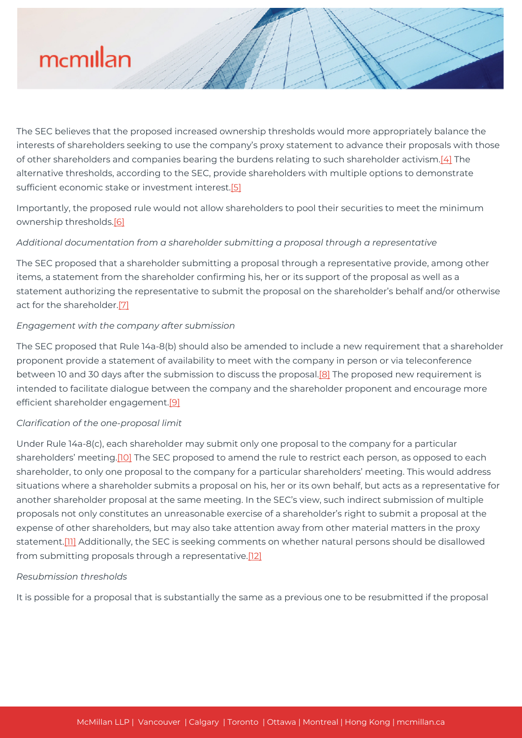The SEC believes that the proposed increased ownership thresholds would more appropriately balance the interests of shareholders seeking to use the company's proxy statement to advance their proposals with those of other shareholders and companies bearing the burdens relating to such shareholder activism.[\[4\]](#page--1-0) The alternative thresholds, according to the SEC, provide shareholders with multiple options to demonstrate sufficient economic stake or investment interest[.\[5\]](#page--1-0)

Importantly, the proposed rule would not allow shareholders to pool their securities to meet the minimum ownership thresholds.[\[6\]](#page--1-0)

# *Additional documentation from a shareholder submitting a proposal through a representative*

The SEC proposed that a shareholder submitting a proposal through a representative provide, among other items, a statement from the shareholder confirming his, her or its support of the proposal as well as a statement authorizing the representative to submit the proposal on the shareholder's behalf and/or otherwise act for the shareholder[.\[7\]](#page--1-0)

# *Engagement with the company after submission*

The SEC proposed that Rule 14a-8(b) should also be amended to include a new requirement that a shareholder proponent provide a statement of availability to meet with the company in person or via teleconference between 10 and 30 days after the submission to discuss the proposal.<sup>[8]</sup> The proposed new requirement is intended to facilitate dialogue between the company and the shareholder proponent and encourage more efficient shareholder engagement.<sup>[\[9\]](#page--1-0)</sup>

#### *Clarification of the one-proposal limit*

Under Rule 14a-8(c), each shareholder may submit only one proposal to the company for a particular shareholders' meeting.[\[10\]](#page--1-0) The SEC proposed to amend the rule to restrict each person, as opposed to each shareholder, to only one proposal to the company for a particular shareholders' meeting. This would address situations where a shareholder submits a proposal on his, her or its own behalf, but acts as a representative for another shareholder proposal at the same meeting. In the SEC's view, such indirect submission of multiple proposals not only constitutes an unreasonable exercise of a shareholder's right to submit a proposal at the expense of other shareholders, but may also take attention away from other material matters in the proxy statement[.\[11\]](#page--1-0) Additionally, the SEC is seeking comments on whether natural persons should be disallowed from submitting proposals through a representative.<sup>[\[12\]](#page--1-0)</sup>

#### *Resubmission thresholds*

It is possible for a proposal that is substantially the same as a previous one to be resubmitted if the proposal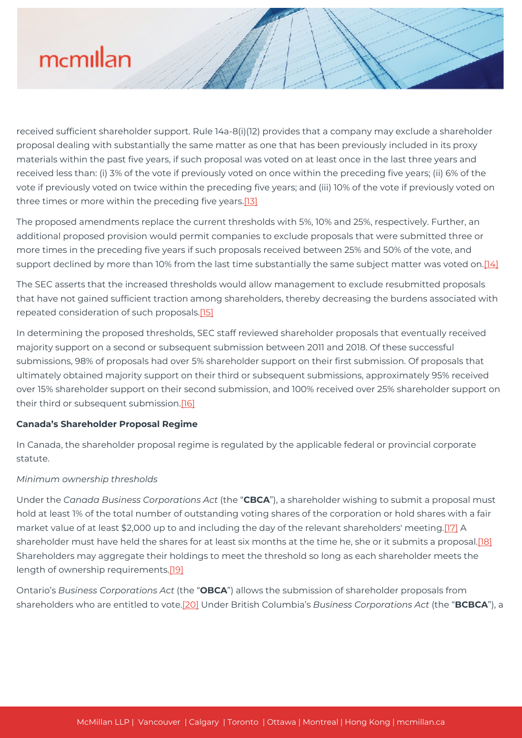received sufficient shareholder support. Rule 14a-8(i)(12) provides that a company may exclude a shareholder proposal dealing with substantially the same matter as one that has been previously included in its proxy materials within the past five years, if such proposal was voted on at least once in the last three years and received less than: (i) 3% of the vote if previously voted on once within the preceding five years; (ii) 6% of the vote if previously voted on twice within the preceding five years; and (iii) 10% of the vote if previously voted on three times or more within the preceding five years.<sup>[13]</sup>

The proposed amendments replace the current thresholds with 5%, 10% and 25%, respectively. Further, an additional proposed provision would permit companies to exclude proposals that were submitted three or more times in the preceding five years if such proposals received between 25% and 50% of the vote, and support declined by more than 10% from the last time substantially the same subject matter was voted on[.\[14\]](#page--1-0)

The SEC asserts that the increased thresholds would allow management to exclude resubmitted proposals that have not gained sufficient traction among shareholders, thereby decreasing the burdens associated with repeated consideration of such proposals.[\[15\]](#page--1-0)

In determining the proposed thresholds, SEC staff reviewed shareholder proposals that eventually received majority support on a second or subsequent submission between 2011 and 2018. Of these successful submissions, 98% of proposals had over 5% shareholder support on their first submission. Of proposals that ultimately obtained majority support on their third or subsequent submissions, approximately 95% received over 15% shareholder support on their second submission, and 100% received over 25% shareholder support on their third or subsequent submission.<sup>[16]</sup>

# **Canada's Shareholder Proposal Regime**

In Canada, the shareholder proposal regime is regulated by the applicable federal or provincial corporate statute.

#### *Minimum ownership thresholds*

Under the *Canada Business Corporations Act* (the "**CBCA**"), a shareholder wishing to submit a proposal must hold at least 1% of the total number of outstanding voting shares of the corporation or hold shares with a fair market value of at least \$2,000 up to and including the day of the relevant shareholders' meeting.[\[17\]](#page--1-0) A shareholder must have held the shares for at least six months at the time he, she or it submits a proposal.<sup>[18]</sup> Shareholders may aggregate their holdings to meet the threshold so long as each shareholder meets the length of ownership requirements.<sup>[19]</sup>

Ontario's *Business Corporations Act* (the "**OBCA**") allows the submission of shareholder proposals from shareholders who are entitled to vote[.\[20\]](#page--1-0) Under British Columbia's *Business Corporations Act* (the "**BCBCA**"), a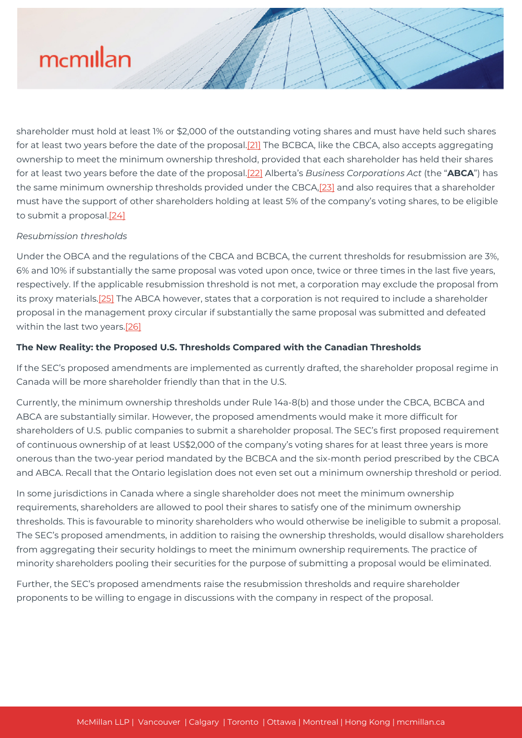shareholder must hold at least 1% or \$2,000 of the outstanding voting shares and must have held such shares for at least two years before the date of the proposal.[\[21\]](#page--1-0) The BCBCA, like the CBCA, also accepts aggregating ownership to meet the minimum ownership threshold, provided that each shareholder has held their shares for at least two years before the date of the proposal.[\[22\]](#page--1-0) Alberta's *Business Corporations Act* (the "**ABCA**") has the same minimum ownership thresholds provided under the CBCA[,\[23\]](#page--1-0) and also requires that a shareholder must have the support of other shareholders holding at least 5% of the company's voting shares, to be eligible to submit a proposal[.\[24\]](#page--1-0)

# *Resubmission thresholds*

Under the OBCA and the regulations of the CBCA and BCBCA, the current thresholds for resubmission are 3%, 6% and 10% if substantially the same proposal was voted upon once, twice or three times in the last five years, respectively. If the applicable resubmission threshold is not met, a corporation may exclude the proposal from its proxy materials.<sup>[25]</sup> The ABCA however, states that a corporation is not required to include a shareholder proposal in the management proxy circular if substantially the same proposal was submitted and defeated within the last two years.[\[26\]](#page--1-0)

# **The New Reality: the Proposed U.S. Thresholds Compared with the Canadian Thresholds**

If the SEC's proposed amendments are implemented as currently drafted, the shareholder proposal regime in Canada will be more shareholder friendly than that in the U.S.

Currently, the minimum ownership thresholds under Rule 14a-8(b) and those under the CBCA, BCBCA and ABCA are substantially similar. However, the proposed amendments would make it more difficult for shareholders of U.S. public companies to submit a shareholder proposal. The SEC's first proposed requirement of continuous ownership of at least US\$2,000 of the company's voting shares for at least three years is more onerous than the two-year period mandated by the BCBCA and the six-month period prescribed by the CBCA and ABCA. Recall that the Ontario legislation does not even set out a minimum ownership threshold or period.

In some jurisdictions in Canada where a single shareholder does not meet the minimum ownership requirements, shareholders are allowed to pool their shares to satisfy one of the minimum ownership thresholds. This is favourable to minority shareholders who would otherwise be ineligible to submit a proposal. The SEC's proposed amendments, in addition to raising the ownership thresholds, would disallow shareholders from aggregating their security holdings to meet the minimum ownership requirements. The practice of minority shareholders pooling their securities for the purpose of submitting a proposal would be eliminated.

Further, the SEC's proposed amendments raise the resubmission thresholds and require shareholder proponents to be willing to engage in discussions with the company in respect of the proposal.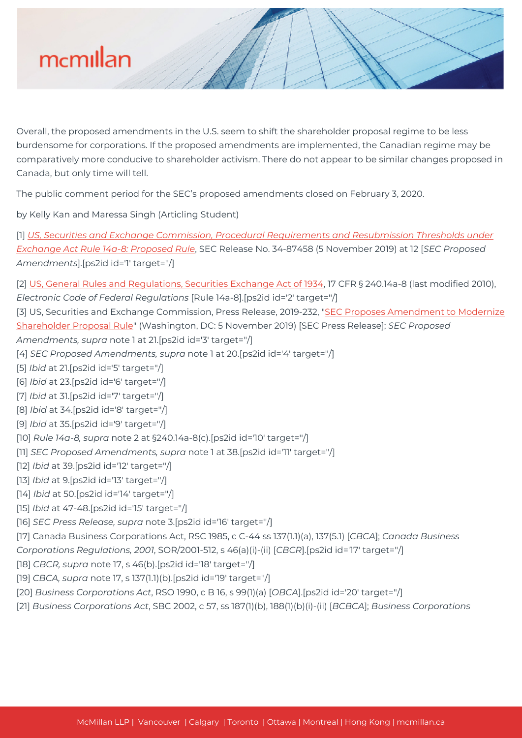

Overall, the proposed amendments in the U.S. seem to shift the shareholder proposal regime to be less burdensome for corporations. If the proposed amendments are implemented, the Canadian regime may be comparatively more conducive to shareholder activism. There do not appear to be similar changes proposed in Canada, but only time will tell.

The public comment period for the SEC's proposed amendments closed on February 3, 2020.

by Kelly Kan and Maressa Singh (Articling Student)

[1] *[US, Securities and Exchange Commission, Procedural Requirements and Resubmission Thresholds under](https://www.sec.gov/rules/proposed/2019/34-87458.pdf) [Exchange Act Rule 14a-8: Proposed Rule](https://www.sec.gov/rules/proposed/2019/34-87458.pdf)*, SEC Release No. 34-87458 (5 November 2019) at 12 [*SEC Proposed Amendments*].[ps2id id='1' target=''/]

[2] [US, General Rules and Regulations, Securities Exchange Act of 1934](https://www.ecfr.gov/cgi-bin/text-idx?node=17:4.0.1.1.1&rgn=div5#se17.4.240_114a_68), 17 CFR § 240.14a-8 (last modified 2010), *Electronic Code of Federal Regulations* [Rule 14a-8].[ps2id id='2' target=''/]

[3] US, Securities and Exchange Commission, Press Release, 2019-232, "[SEC Proposes Amendment to Modernize](https://www.sec.gov/news/press-release/2019-232) [Shareholder Proposal Rule](https://www.sec.gov/news/press-release/2019-232)" (Washington, DC: 5 November 2019) [SEC Press Release]; *SEC Proposed*

*Amendments, supra* note 1 at 21.[ps2id id='3' target=''/]

- [4] *SEC Proposed Amendments, supra* note 1 at 20.[ps2id id='4' target=''/]
- [5] *Ibid* at 21.[ps2id id='5' target=''/]
- [6] *Ibid* at 23.[ps2id id='6' target=''/]
- [7] *Ibid* at 31.[ps2id id='7' target=''/]
- [8] *Ibid* at 34.[ps2id id='8' target=''/]
- [9] *Ibid* at 35.[ps2id id='9' target=''/]

[10] *Rule 14a-8, supra* note 2 at §240.14a-8(c).[ps2id id='10' target=''/]

[11] *SEC Proposed Amendments, supra* note 1 at 38.[ps2id id='11' target=''/]

- [12] *Ibid* at 39.[ps2id id='12' target=''/]
- [13] *Ibid* at 9.[ps2id id='13' target=''/]
- [14] *Ibid* at 50.[ps2id id='14' target=''/]

# [15] *Ibid* at 47-48.[ps2id id='15' target=''/]

[16] *SEC Press Release, supra* note 3.[ps2id id='16' target=''/]

[17] Canada Business Corporations Act, RSC 1985, c C-44 ss 137(1.1)(a), 137(5.1) [*CBCA*]; *Canada Business*

*Corporations Regulations, 2001*, SOR/2001-512, s 46(a)(i)-(ii) [*CBCR*].[ps2id id='17' target=''/]

[18] *CBCR, supra* note 17, s 46(b).[ps2id id='18' target=''/]

- [19] *CBCA, supra* note 17, s 137(1.1)(b).[ps2id id='19' target=''/]
- [20] *Business Corporations Act*, RSO 1990, c B 16, s 99(1)(a) [*OBCA*].[ps2id id='20' target=''/]

[21] *Business Corporations Act*, SBC 2002, c 57, ss 187(1)(b), 188(1)(b)(i)-(ii) [*BCBCA*]; *Business Corporations*